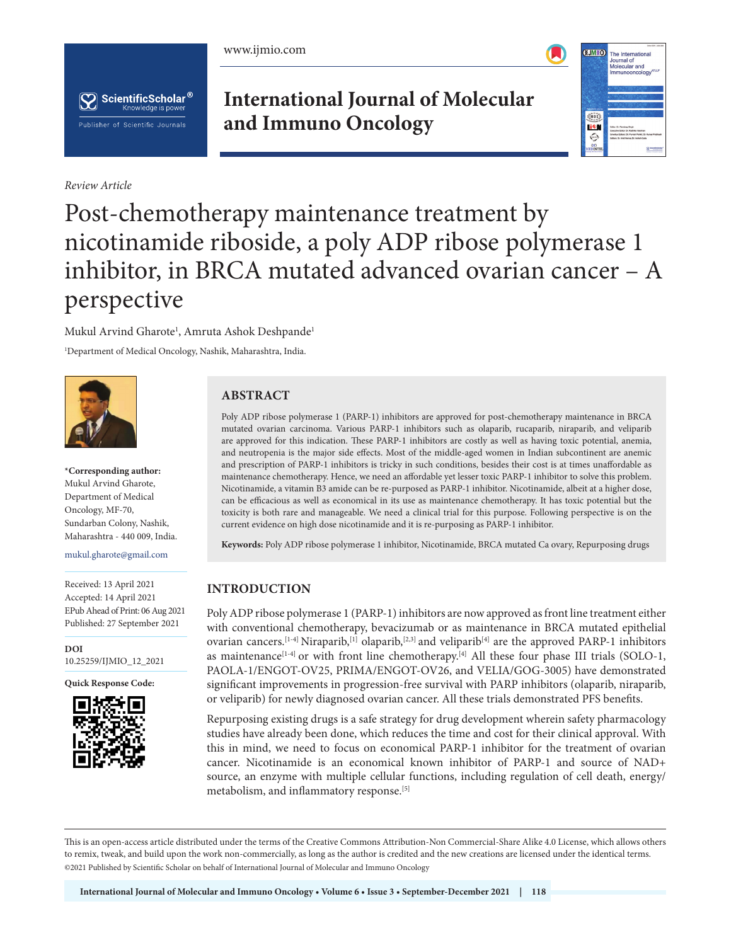





*Review Article*

# **International Journal of Molecular and Immuno Oncology**



# Post-chemotherapy maintenance treatment by nicotinamide riboside, a poly ADP ribose polymerase 1 inhibitor, in BRCA mutated advanced ovarian cancer – A perspective

Mukul Arvind Gharote<sup>1</sup>, Amruta Ashok Deshpande<sup>1</sup> 1 Department of Medical Oncology, Nashik, Maharashtra, India.



**\*Corresponding author:** Mukul Arvind Gharote, Department of Medical Oncology, MF-70, Sundarban Colony, Nashik, Maharashtra - 440 009, India.

mukul.gharote@gmail.com

Received: 13 April 2021 Accepted: 14 April 2021 EPub Ahead of Print: 06 Aug 2021 Published: 27 September 2021

**DOI** [10.25259/IJMIO\\_12\\_2021](https://dx.doi.org/10.25259/IJMIO_12_2021)

**Quick Response Code:**



# **ABSTRACT**

Poly ADP ribose polymerase 1 (PARP-1) inhibitors are approved for post-chemotherapy maintenance in BRCA mutated ovarian carcinoma. Various PARP-1 inhibitors such as olaparib, rucaparib, niraparib, and veliparib are approved for this indication. These PARP-1 inhibitors are costly as well as having toxic potential, anemia, and neutropenia is the major side effects. Most of the middle-aged women in Indian subcontinent are anemic and prescription of PARP-1 inhibitors is tricky in such conditions, besides their cost is at times unaffordable as maintenance chemotherapy. Hence, we need an affordable yet lesser toxic PARP-1 inhibitor to solve this problem. Nicotinamide, a vitamin B3 amide can be re-purposed as PARP-1 inhibitor. Nicotinamide, albeit at a higher dose, can be efficacious as well as economical in its use as maintenance chemotherapy. It has toxic potential but the toxicity is both rare and manageable. We need a clinical trial for this purpose. Following perspective is on the current evidence on high dose nicotinamide and it is re-purposing as PARP-1 inhibitor.

**Keywords:** Poly ADP ribose polymerase 1 inhibitor, Nicotinamide, BRCA mutated Ca ovary, Repurposing drugs

# **INTRODUCTION**

Poly ADP ribose polymerase 1 (PARP-1) inhibitors are now approved as front line treatment either with conventional chemotherapy, bevacizumab or as maintenance in BRCA mutated epithelial ovarian cancers.<sup>[1-4]</sup> Niraparib,<sup>[1]</sup> olaparib,<sup>[2,3]</sup> and veliparib<sup>[4]</sup> are the approved PARP-1 inhibitors as maintenance<sup>[1-4]</sup> or with front line chemotherapy.<sup>[4]</sup> All these four phase III trials (SOLO-1, PAOLA-1/ENGOT-OV25, PRIMA/ENGOT-OV26, and VELIA/GOG-3005) have demonstrated significant improvements in progression-free survival with PARP inhibitors (olaparib, niraparib, or veliparib) for newly diagnosed ovarian cancer. All these trials demonstrated PFS benefits.

Repurposing existing drugs is a safe strategy for drug development wherein safety pharmacology studies have already been done, which reduces the time and cost for their clinical approval. With this in mind, we need to focus on economical PARP-1 inhibitor for the treatment of ovarian cancer. Nicotinamide is an economical known inhibitor of PARP-1 and source of NAD+ source, an enzyme with multiple cellular functions, including regulation of cell death, energy/ metabolism, and inflammatory response.<sup>[5]</sup>

This is an open-access article distributed under the terms of the Creative Commons Attribution-Non Commercial-Share Alike 4.0 License, which allows others to remix, tweak, and build upon the work non-commercially, as long as the author is credited and the new creations are licensed under the identical terms. ©2021 Published by Scientific Scholar on behalf of International Journal of Molecular and Immuno Oncology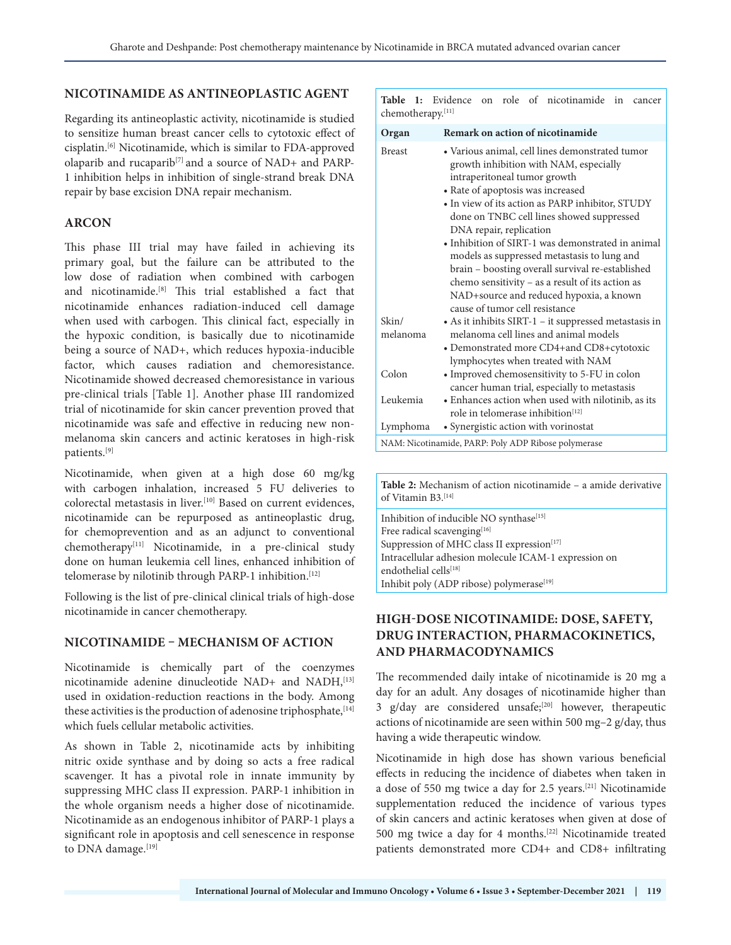#### **NICOTINAMIDE AS ANTINEOPLASTIC AGENT**

Regarding its antineoplastic activity, nicotinamide is studied to sensitize human breast cancer cells to cytotoxic effect of cisplatin.[6] Nicotinamide, which is similar to FDA-approved olaparib and rucaparib<sup>[7]</sup> and a source of NAD+ and PARP-1 inhibition helps in inhibition of single-strand break DNA repair by base excision DNA repair mechanism.

#### **ARCON**

This phase III trial may have failed in achieving its primary goal, but the failure can be attributed to the low dose of radiation when combined with carbogen and nicotinamide.[8] This trial established a fact that nicotinamide enhances radiation-induced cell damage when used with carbogen. This clinical fact, especially in the hypoxic condition, is basically due to nicotinamide being a source of NAD+, which reduces hypoxia-inducible factor, which causes radiation and chemoresistance. Nicotinamide showed decreased chemoresistance in various pre-clinical trials [Table 1]. Another phase III randomized trial of nicotinamide for skin cancer prevention proved that nicotinamide was safe and effective in reducing new nonmelanoma skin cancers and actinic keratoses in high-risk patients.[9]

Nicotinamide, when given at a high dose 60 mg/kg with carbogen inhalation, increased 5 FU deliveries to colorectal metastasis in liver.[10] Based on current evidences, nicotinamide can be repurposed as antineoplastic drug, for chemoprevention and as an adjunct to conventional  $chemotheray<sup>[11]</sup> Nicotinamide, in a pre-clinical study$ done on human leukemia cell lines, enhanced inhibition of telomerase by nilotinib through PARP-1 inhibition.<sup>[12]</sup>

Following is the list of pre-clinical clinical trials of high-dose nicotinamide in cancer chemotherapy.

### **NICOTINAMIDE – MECHANISM OF ACTION**

Nicotinamide is chemically part of the coenzymes nicotinamide adenine dinucleotide NAD+ and NADH, [13] used in oxidation-reduction reactions in the body. Among these activities is the production of adenosine triphosphate,  $[14]$ which fuels cellular metabolic activities.

As shown in Table 2, nicotinamide acts by inhibiting nitric oxide synthase and by doing so acts a free radical scavenger. It has a pivotal role in innate immunity by suppressing MHC class II expression. PARP-1 inhibition in the whole organism needs a higher dose of nicotinamide. Nicotinamide as an endogenous inhibitor of PARP-1 plays a significant role in apoptosis and cell senescence in response to DNA damage.[19]

**Table 1:** Evidence on role of nicotinamide in cancer chemotherapy.[11]

| Organ                                               | Remark on action of nicotinamide                                                                                          |
|-----------------------------------------------------|---------------------------------------------------------------------------------------------------------------------------|
| <b>Breast</b>                                       | · Various animal, cell lines demonstrated tumor<br>growth inhibition with NAM, especially<br>intraperitoneal tumor growth |
|                                                     | • Rate of apoptosis was increased                                                                                         |
|                                                     | • In view of its action as PARP inhibitor, STUDY                                                                          |
|                                                     | done on TNBC cell lines showed suppressed                                                                                 |
|                                                     | DNA repair, replication                                                                                                   |
|                                                     | • Inhibition of SIRT-1 was demonstrated in animal                                                                         |
|                                                     | models as suppressed metastasis to lung and                                                                               |
|                                                     | brain - boosting overall survival re-established                                                                          |
|                                                     | chemo sensitivity - as a result of its action as                                                                          |
|                                                     | NAD+source and reduced hypoxia, a known                                                                                   |
|                                                     | cause of tumor cell resistance                                                                                            |
| Skin/                                               | • As it inhibits SIRT-1 – it suppressed metastasis in                                                                     |
| melanoma                                            | melanoma cell lines and animal models                                                                                     |
|                                                     | • Demonstrated more CD4+and CD8+cytotoxic                                                                                 |
|                                                     | lymphocytes when treated with NAM                                                                                         |
| Colon                                               | • Improved chemosensitivity to 5-FU in colon                                                                              |
|                                                     | cancer human trial, especially to metastasis                                                                              |
| Leukemia                                            | • Enhances action when used with nilotinib, as its                                                                        |
|                                                     | role in telomerase inhibition <sup>[12]</sup>                                                                             |
| Lymphoma                                            | • Synergistic action with vorinostat                                                                                      |
| NAM: Nicotinamide, PARP: Poly ADP Ribose polymerase |                                                                                                                           |

**Table 2:** Mechanism of action nicotinamide – a amide derivative of Vitamin B3.[14]

Inhibition of inducible NO synthase<sup>[15]</sup> Free radical scavenging[16] Suppression of MHC class II expression<sup>[17]</sup> Intracellular adhesion molecule ICAM-1 expression on endothelial cells[18] Inhibit poly (ADP ribose) polymerase<sup>[19]</sup>

# **HIGH-DOSE NICOTINAMIDE: DOSE, SAFETY, DRUG INTERACTION, PHARMACOKINETICS, AND PHARMACODYNAMICS**

The recommended daily intake of nicotinamide is 20 mg a day for an adult. Any dosages of nicotinamide higher than 3 g/day are considered unsafe;[20] however, therapeutic actions of nicotinamide are seen within 500 mg–2 g/day, thus having a wide therapeutic window.

Nicotinamide in high dose has shown various beneficial effects in reducing the incidence of diabetes when taken in a dose of 550 mg twice a day for 2.5 years.[21] Nicotinamide supplementation reduced the incidence of various types of skin cancers and actinic keratoses when given at dose of 500 mg twice a day for 4 months.[22] Nicotinamide treated patients demonstrated more CD4+ and CD8+ infiltrating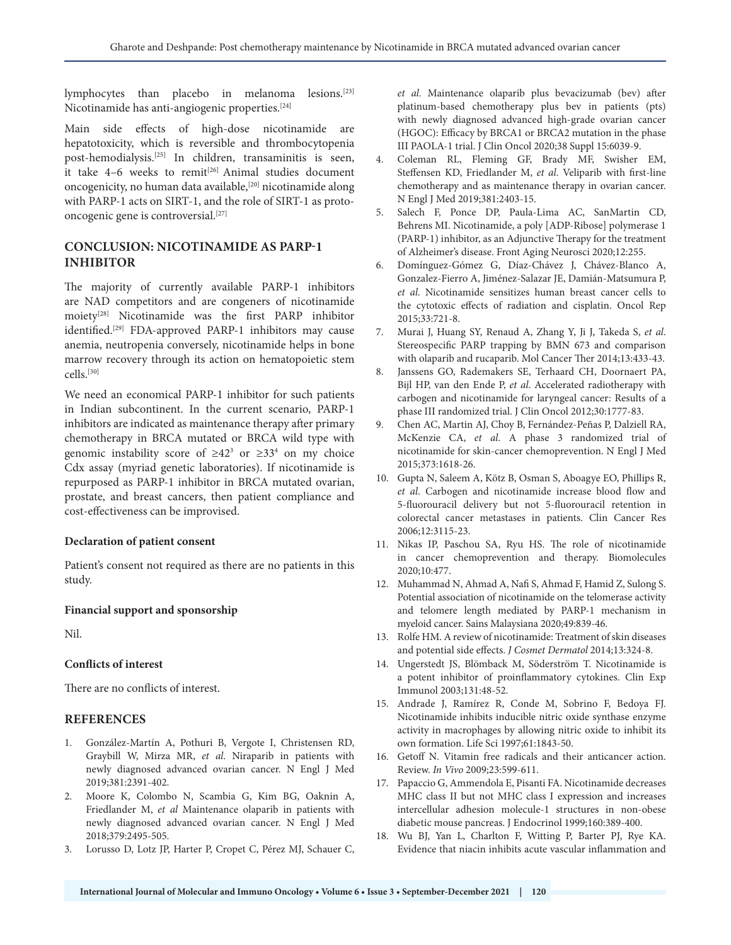lymphocytes than placebo in melanoma lesions.[23] Nicotinamide has anti-angiogenic properties.[24]

Main side effects of high-dose nicotinamide are hepatotoxicity, which is reversible and thrombocytopenia post-hemodialysis.[25] In children, transaminitis is seen, it take  $4-6$  weeks to remit<sup>[26]</sup> Animal studies document oncogenicity, no human data available,<sup>[20]</sup> nicotinamide along with PARP-1 acts on SIRT-1, and the role of SIRT-1 as protooncogenic gene is controversial.[27]

## **CONCLUSION: NICOTINAMIDE AS PARP-1 INHIBITOR**

The majority of currently available PARP-1 inhibitors are NAD competitors and are congeners of nicotinamide moiety[28] Nicotinamide was the first PARP inhibitor identified.[29] FDA-approved PARP-1 inhibitors may cause anemia, neutropenia conversely, nicotinamide helps in bone marrow recovery through its action on hematopoietic stem cells.[30]

We need an economical PARP-1 inhibitor for such patients in Indian subcontinent. In the current scenario, PARP-1 inhibitors are indicated as maintenance therapy after primary chemotherapy in BRCA mutated or BRCA wild type with genomic instability score of  $\geq 42^3$  or  $\geq 33^4$  on my choice Cdx assay (myriad genetic laboratories). If nicotinamide is repurposed as PARP-1 inhibitor in BRCA mutated ovarian, prostate, and breast cancers, then patient compliance and cost-effectiveness can be improvised.

#### **Declaration of patient consent**

Patient's consent not required as there are no patients in this study.

#### **Financial support and sponsorship**

Nil.

#### **Conflicts of interest**

There are no conflicts of interest.

#### **REFERENCES**

- 1. González-Martín A, Pothuri B, Vergote I, Christensen RD, Graybill W, Mirza MR, *et al*. Niraparib in patients with newly diagnosed advanced ovarian cancer. N Engl J Med 2019;381:2391-402.
- 2. Moore K, Colombo N, Scambia G, Kim BG, Oaknin A, Friedlander M, *et al* Maintenance olaparib in patients with newly diagnosed advanced ovarian cancer. N Engl J Med 2018;379:2495-505.
- 3. Lorusso D, Lotz JP, Harter P, Cropet C, Pérez MJ, Schauer C,

*et al*. Maintenance olaparib plus bevacizumab (bev) after platinum-based chemotherapy plus bev in patients (pts) with newly diagnosed advanced high-grade ovarian cancer (HGOC): Efficacy by BRCA1 or BRCA2 mutation in the phase III PAOLA-1 trial. J Clin Oncol 2020;38 Suppl 15:6039-9.

- 4. Coleman RL, Fleming GF, Brady MF, Swisher EM, Steffensen KD, Friedlander M, *et al*. Veliparib with first-line chemotherapy and as maintenance therapy in ovarian cancer. N Engl J Med 2019;381:2403-15.
- 5. Salech F, Ponce DP, Paula-Lima AC, SanMartin CD, Behrens MI. Nicotinamide, a poly [ADP-Ribose] polymerase 1 (PARP-1) inhibitor, as an Adjunctive Therapy for the treatment of Alzheimer's disease. Front Aging Neurosci 2020;12:255.
- 6. Domínguez-Gómez G, Díaz-Chávez J, Chávez-Blanco A, Gonzalez-Fierro A, Jiménez-Salazar JE, Damián-Matsumura P, *et al*. Nicotinamide sensitizes human breast cancer cells to the cytotoxic effects of radiation and cisplatin. Oncol Rep 2015;33:721-8.
- 7. Murai J, Huang SY, Renaud A, Zhang Y, Ji J, Takeda S, *et al*. Stereospecific PARP trapping by BMN 673 and comparison with olaparib and rucaparib. Mol Cancer Ther 2014;13:433-43.
- Janssens GO, Rademakers SE, Terhaard CH, Doornaert PA, Bijl HP, van den Ende P, *et al*. Accelerated radiotherapy with carbogen and nicotinamide for laryngeal cancer: Results of a phase III randomized trial. J Clin Oncol 2012;30:1777-83.
- 9. Chen AC, Martin AJ, Choy B, Fernández-Peñas P, Dalziell RA, McKenzie CA, *et al*. A phase 3 randomized trial of nicotinamide for skin-cancer chemoprevention. N Engl J Med 2015;373:1618-26.
- 10. Gupta N, Saleem A, Kötz B, Osman S, Aboagye EO, Phillips R, *et al*. Carbogen and nicotinamide increase blood flow and 5-fluorouracil delivery but not 5-fluorouracil retention in colorectal cancer metastases in patients. Clin Cancer Res 2006;12:3115-23.
- 11. Nikas IP, Paschou SA, Ryu HS. The role of nicotinamide in cancer chemoprevention and therapy. Biomolecules 2020;10:477.
- 12. Muhammad N, Ahmad A, Nafi S, Ahmad F, Hamid Z, Sulong S. Potential association of nicotinamide on the telomerase activity and telomere length mediated by PARP-1 mechanism in myeloid cancer. Sains Malaysiana 2020;49:839-46.
- 13. Rolfe HM. A review of nicotinamide: Treatment of skin diseases and potential side effects. *J Cosmet Dermatol* 2014;13:324-8.
- 14. Ungerstedt JS, Blömback M, Söderström T. Nicotinamide is a potent inhibitor of proinflammatory cytokines. Clin Exp Immunol 2003;131:48-52.
- 15. Andrade J, Ramírez R, Conde M, Sobrino F, Bedoya FJ. Nicotinamide inhibits inducible nitric oxide synthase enzyme activity in macrophages by allowing nitric oxide to inhibit its own formation. Life Sci 1997;61:1843-50.
- 16. Getoff N. Vitamin free radicals and their anticancer action. Review. *In Vivo* 2009;23:599-611.
- 17. Papaccio G, Ammendola E, Pisanti FA. Nicotinamide decreases MHC class II but not MHC class I expression and increases intercellular adhesion molecule-1 structures in non-obese diabetic mouse pancreas. J Endocrinol 1999;160:389-400.
- 18. Wu BJ, Yan L, Charlton F, Witting P, Barter PJ, Rye KA. Evidence that niacin inhibits acute vascular inflammation and